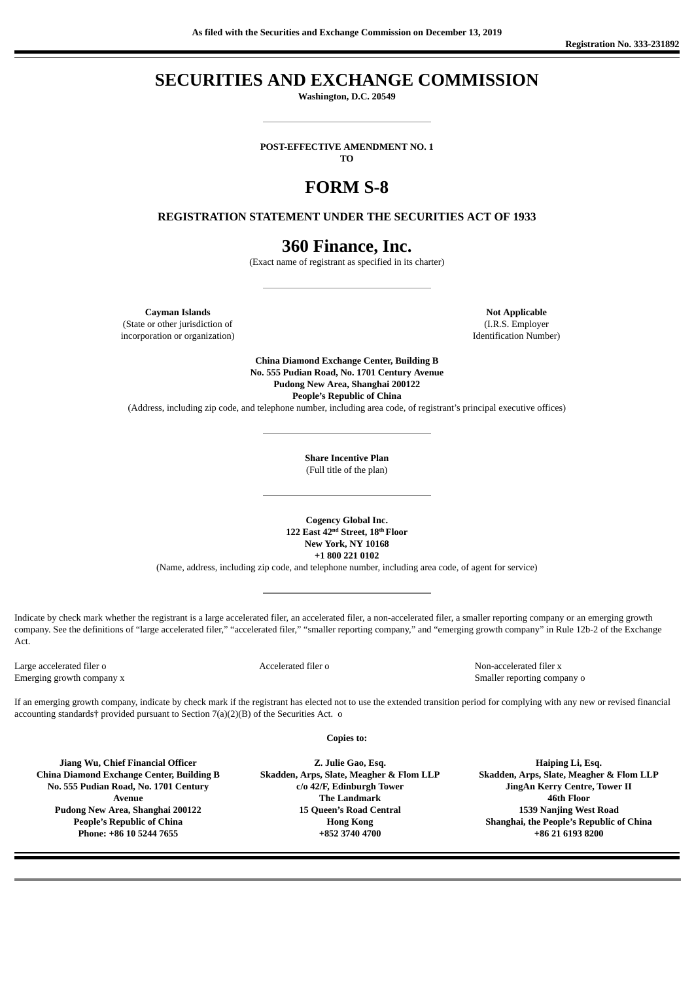## **SECURITIES AND EXCHANGE COMMISSION**

**Washington, D.C. 20549**

**POST-EFFECTIVE AMENDMENT NO. 1**

**TO**

# **FORM S-8**

#### **REGISTRATION STATEMENT UNDER THE SECURITIES ACT OF 1933**

### **360 Finance, Inc.**

(Exact name of registrant as specified in its charter)

**Cayman Islands Not Applicable** (State or other jurisdiction of (I.R.S. Employer incorporation or organization) Identification Number)

**China Diamond Exchange Center, Building B No. 555 Pudian Road, No. 1701 Century Avenue Pudong New Area, Shanghai 200122 People's Republic of China**

(Address, including zip code, and telephone number, including area code, of registrant's principal executive offices)

**Share Incentive Plan** (Full title of the plan)

**Cogency Global Inc.** 122 East 42<sup>nd</sup> Street, 18<sup>th</sup> Floor **New York, NY 10168 +1 800 221 0102**

(Name, address, including zip code, and telephone number, including area code, of agent for service)

Indicate by check mark whether the registrant is a large accelerated filer, an accelerated filer, a non-accelerated filer, a smaller reporting company or an emerging growth company. See the definitions of "large accelerated filer," "accelerated filer," "smaller reporting company," and "emerging growth company" in Rule 12b-2 of the Exchange Act.

Large accelerated filer o Accelerated filer o Non-accelerated filer x Emerging growth company x Smaller reporting company o

If an emerging growth company, indicate by check mark if the registrant has elected not to use the extended transition period for complying with any new or revised financial accounting standards† provided pursuant to Section 7(a)(2)(B) of the Securities Act. o

**Copies to:**

**Jiang Wu, Chief Financial Officer China Diamond Exchange Center, Building B No. 555 Pudian Road, No. 1701 Century Avenue Pudong New Area, Shanghai 200122 People's Republic of China Phone: +86 10 5244 7655**

**Z. Julie Gao, Esq. Skadden, Arps, Slate, Meagher & Flom LLP c/o 42/F, Edinburgh Tower The Landmark 15 Queen's Road Central Hong Kong +852 3740 4700**

**Haiping Li, Esq. Skadden, Arps, Slate, Meagher & Flom LLP JingAn Kerry Centre, Tower II 46th Floor 1539 Nanjing West Road Shanghai, the People's Republic of China +86 21 6193 8200**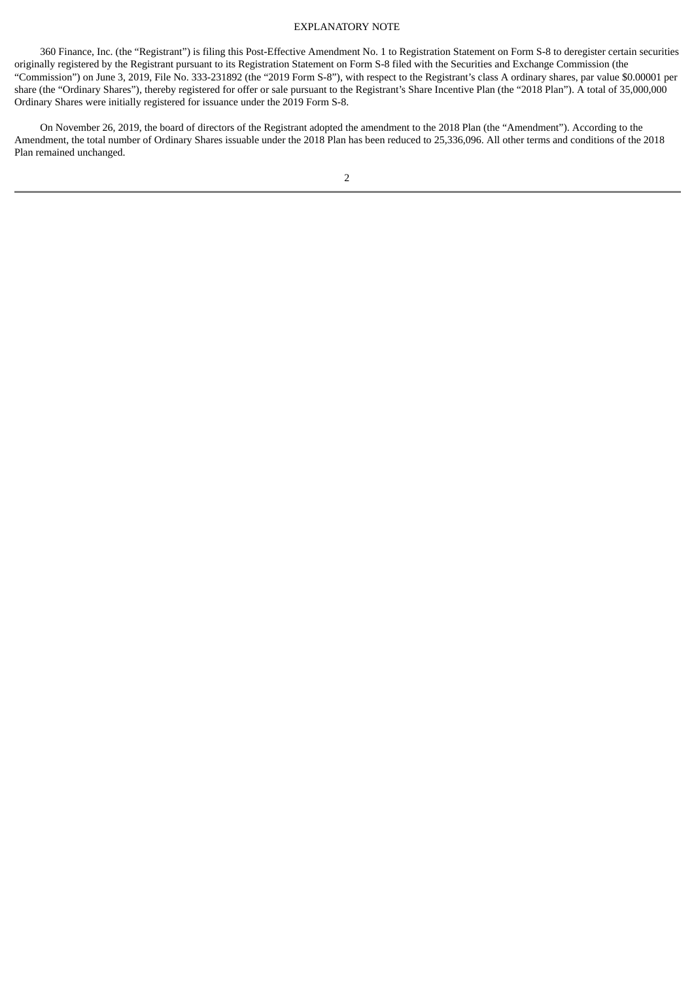#### EXPLANATORY NOTE

360 Finance, Inc. (the "Registrant") is filing this Post-Effective Amendment No. 1 to Registration Statement on Form S-8 to deregister certain securities originally registered by the Registrant pursuant to its Registration Statement on Form S-8 filed with the Securities and Exchange Commission (the "Commission") on June 3, 2019, File No. 333-231892 (the "2019 Form S-8"), with respect to the Registrant's class A ordinary shares, par value \$0.00001 per share (the "Ordinary Shares"), thereby registered for offer or sale pursuant to the Registrant's Share Incentive Plan (the "2018 Plan"). A total of 35,000,000 Ordinary Shares were initially registered for issuance under the 2019 Form S-8.

On November 26, 2019, the board of directors of the Registrant adopted the amendment to the 2018 Plan (the "Amendment"). According to the Amendment, the total number of Ordinary Shares issuable under the 2018 Plan has been reduced to 25,336,096. All other terms and conditions of the 2018 Plan remained unchanged.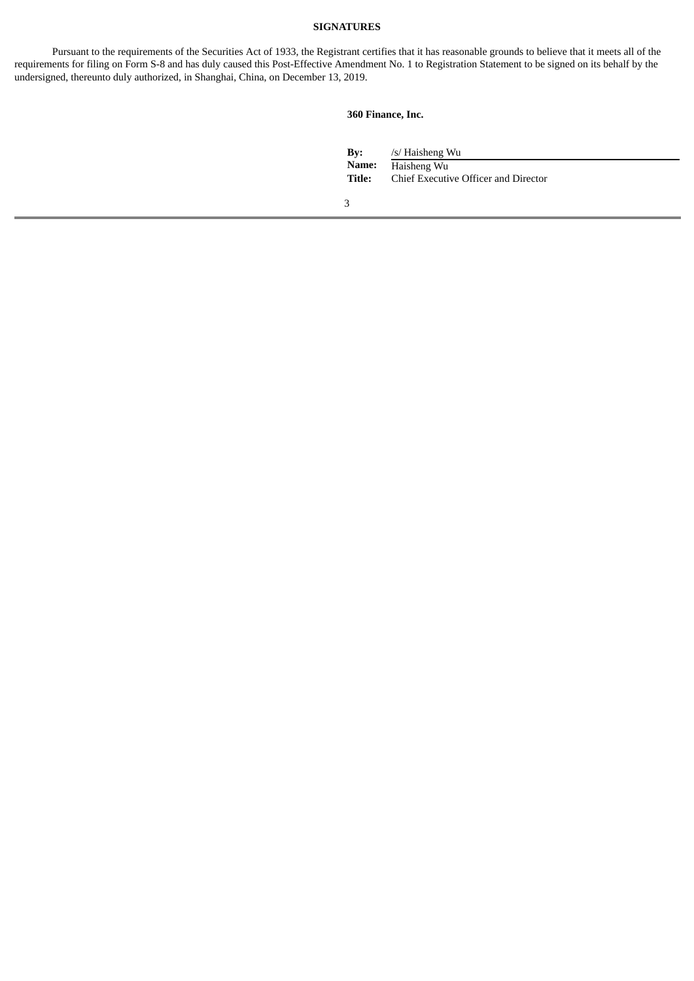#### **SIGNATURES**

Pursuant to the requirements of the Securities Act of 1933, the Registrant certifies that it has reasonable grounds to believe that it meets all of the requirements for filing on Form S-8 and has duly caused this Post-Effective Amendment No. 1 to Registration Statement to be signed on its behalf by the undersigned, thereunto duly authorized, in Shanghai, China, on December 13, 2019.

#### **360 Finance, Inc.**

| Bv:    | /s/ Haisheng Wu                      |
|--------|--------------------------------------|
| Name:  | Haisheng Wu                          |
| Title: | Chief Executive Officer and Director |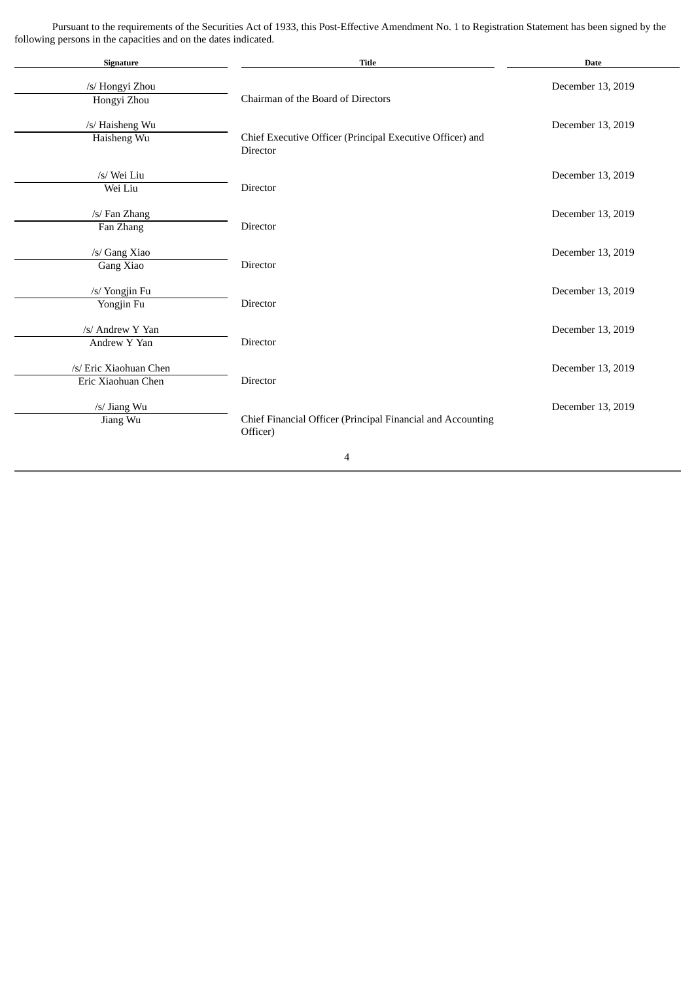Pursuant to the requirements of the Securities Act of 1933, this Post-Effective Amendment No. 1 to Registration Statement has been signed by the following persons in the capacities and on the dates indicated.

 $\mathcal{L}$ 

| Signature                                    | <b>Title</b>                                                            | <b>Date</b>       |
|----------------------------------------------|-------------------------------------------------------------------------|-------------------|
| /s/ Hongyi Zhou<br>Hongyi Zhou               | Chairman of the Board of Directors                                      | December 13, 2019 |
| /s/ Haisheng Wu<br>Haisheng Wu               | Chief Executive Officer (Principal Executive Officer) and<br>Director   | December 13, 2019 |
| /s/ Wei Liu<br>Wei Liu                       | Director                                                                | December 13, 2019 |
| /s/ Fan Zhang<br>Fan Zhang                   | Director                                                                | December 13, 2019 |
| /s/ Gang Xiao<br>Gang Xiao                   | Director                                                                | December 13, 2019 |
| /s/ Yongjin Fu<br>Yongjin Fu                 | Director                                                                | December 13, 2019 |
| /s/ Andrew Y Yan<br>Andrew Y Yan             | Director                                                                | December 13, 2019 |
| /s/ Eric Xiaohuan Chen<br>Eric Xiaohuan Chen | Director                                                                | December 13, 2019 |
| /s/ Jiang Wu<br>Jiang Wu                     | Chief Financial Officer (Principal Financial and Accounting<br>Officer) | December 13, 2019 |
|                                              | 4                                                                       |                   |